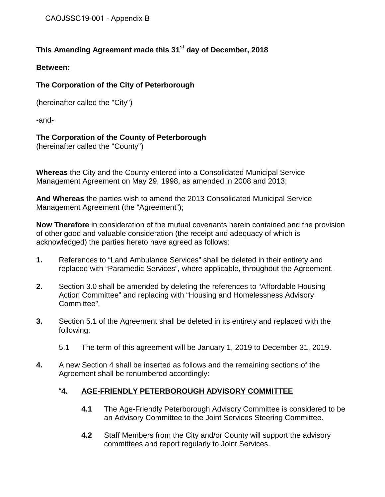# **This Amending Agreement made this 31st day of December, 2018**

#### **Between:**

## **The Corporation of the City of Peterborough**

(hereinafter called the "City")

-and-

## **The Corporation of the County of Peterborough**

(hereinafter called the "County")

**Whereas** the City and the County entered into a Consolidated Municipal Service Management Agreement on May 29, 1998, as amended in 2008 and 2013;

**And Whereas** the parties wish to amend the 2013 Consolidated Municipal Service Management Agreement (the "Agreement");

**Now Therefore** in consideration of the mutual covenants herein contained and the provision of other good and valuable consideration (the receipt and adequacy of which is acknowledged) the parties hereto have agreed as follows:

- **1.** References to "Land Ambulance Services" shall be deleted in their entirety and replaced with "Paramedic Services", where applicable, throughout the Agreement.
- **2.** Section 3.0 shall be amended by deleting the references to "Affordable Housing Action Committee" and replacing with "Housing and Homelessness Advisory Committee".
- **3.** Section 5.1 of the Agreement shall be deleted in its entirety and replaced with the following:
	- 5.1 The term of this agreement will be January 1, 2019 to December 31, 2019.
- **4.** A new Section 4 shall be inserted as follows and the remaining sections of the Agreement shall be renumbered accordingly:

## "**4. AGE-FRIENDLY PETERBOROUGH ADVISORY COMMITTEE**

- **4.1** The Age-Friendly Peterborough Advisory Committee is considered to be an Advisory Committee to the Joint Services Steering Committee.
- **4.2** Staff Members from the City and/or County will support the advisory committees and report regularly to Joint Services.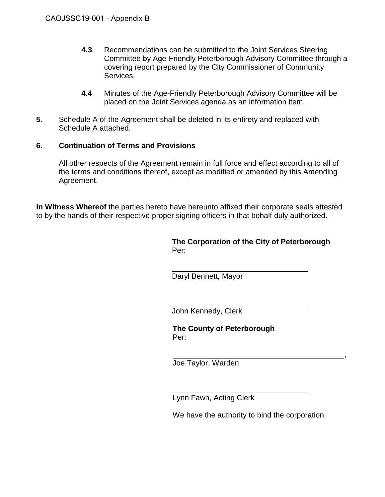- **4.3** Recommendations can be submitted to the Joint Services Steering Committee by Age-Friendly Peterborough Advisory Committee through a covering report prepared by the City Commissioner of Community Services.
- **4.4** Minutes of the Age-Friendly Peterborough Advisory Committee will be placed on the Joint Services agenda as an information item.
- **5.** Schedule A of the Agreement shall be deleted in its entirety and replaced with Schedule A attached.

#### **6. Continuation of Terms and Provisions**

All other respects of the Agreement remain in full force and effect according to all of the terms and conditions thereof, except as modified or amended by this Amending Agreement.

**In Witness Whereof** the parties hereto have hereunto affixed their corporate seals attested to by the hands of their respective proper signing officers in that behalf duly authorized.

> **The Corporation of the City of Peterborough** Per:

 $\ddot{\phantom{a}}$ Daryl Bennett, Mayor

 $\ddot{\phantom{a}}$ John Kennedy, Clerk

**The County of Peterborough** Per:

 , Joe Taylor, Warden

 $\ddot{\phantom{a}}$ Lynn Fawn, Acting Clerk

We have the authority to bind the corporation